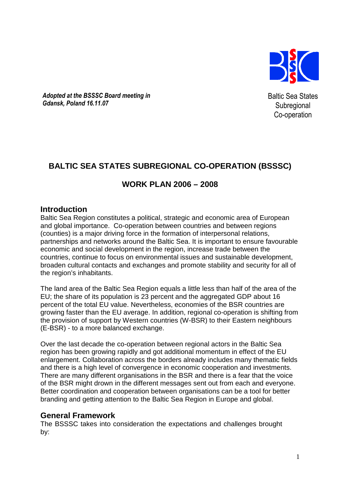

Adopted at the BSSSC Board meeting in Gdansk, Poland 16.11.07

Baltic Sea States **Subregional** Co-operation

# **BALTIC SEA STATES SUBREGIONAL CO-OPERATION (BSSSC)**

# **WORK PLAN 2006 – 2008**

# **Introduction**

Baltic Sea Region constitutes a political, strategic and economic area of European and global importance. Co-operation between countries and between regions (counties) is a major driving force in the formation of interpersonal relations, partnerships and networks around the Baltic Sea. It is important to ensure favourable economic and social development in the region, increase trade between the countries, continue to focus on environmental issues and sustainable development, broaden cultural contacts and exchanges and promote stability and security for all of the region's inhabitants.

The land area of the Baltic Sea Region equals a little less than half of the area of the EU; the share of its population is 23 percent and the aggregated GDP about 16 percent of the total EU value. Nevertheless, economies of the BSR countries are growing faster than the EU average. In addition, regional co-operation is shifting from the provision of support by Western countries (W-BSR) to their Eastern neighbours (E-BSR) - to a more balanced exchange.

Over the last decade the co-operation between regional actors in the Baltic Sea region has been growing rapidly and got additional momentum in effect of the EU enlargement. Collaboration across the borders already includes many thematic fields and there is a high level of convergence in economic cooperation and investments. There are many different organisations in the BSR and there is a fear that the voice of the BSR might drown in the different messages sent out from each and everyone. Better coordination and cooperation between organisations can be a tool for better branding and getting attention to the Baltic Sea Region in Europe and global.

# **General Framework**

The BSSSC takes into consideration the expectations and challenges brought by: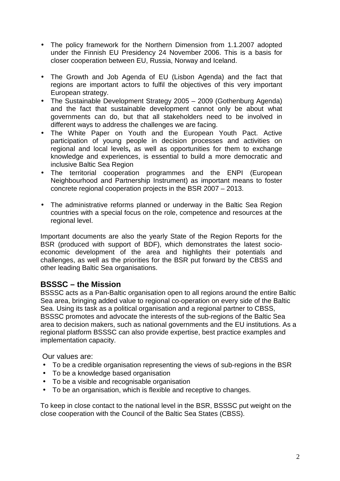- The policy framework for the Northern Dimension from 1.1.2007 adopted under the Finnish EU Presidency 24 November 2006. This is a basis for closer cooperation between EU, Russia, Norway and Iceland.
- The Growth and Job Agenda of EU (Lisbon Agenda) and the fact that regions are important actors to fulfil the objectives of this very important European strategy.
- The Sustainable Development Strategy 2005 2009 (Gothenburg Agenda) and the fact that sustainable development cannot only be about what governments can do, but that all stakeholders need to be involved in different ways to address the challenges we are facing.
- The White Paper on Youth and the European Youth Pact. Active participation of young people in decision processes and activities on regional and local levels**,** as well as opportunities for them to exchange knowledge and experiences, is essential to build a more democratic and inclusive Baltic Sea Region
- The territorial cooperation programmes and the ENPI (European Neighbourhood and Partnership Instrument) as important means to foster concrete regional cooperation projects in the BSR 2007 – 2013.
- The administrative reforms planned or underway in the Baltic Sea Region countries with a special focus on the role, competence and resources at the regional level.

Important documents are also the yearly State of the Region Reports for the BSR (produced with support of BDF), which demonstrates the latest socioeconomic development of the area and highlights their potentials and challenges, as well as the priorities for the BSR put forward by the CBSS and other leading Baltic Sea organisations.

# **BSSSC – the Mission**

BSSSC acts as a Pan-Baltic organisation open to all regions around the entire Baltic Sea area, bringing added value to regional co-operation on every side of the Baltic Sea. Using its task as a political organisation and a regional partner to CBSS, BSSSC promotes and advocate the interests of the sub-regions of the Baltic Sea area to decision makers, such as national governments and the EU institutions. As a regional platform BSSSC can also provide expertise, best practice examples and implementation capacity.

Our values are:

- To be a credible organisation representing the views of sub-regions in the BSR
- To be a knowledge based organisation
- To be a visible and recognisable organisation
- To be an organisation, which is flexible and receptive to changes.

To keep in close contact to the national level in the BSR, BSSSC put weight on the close cooperation with the Council of the Baltic Sea States (CBSS).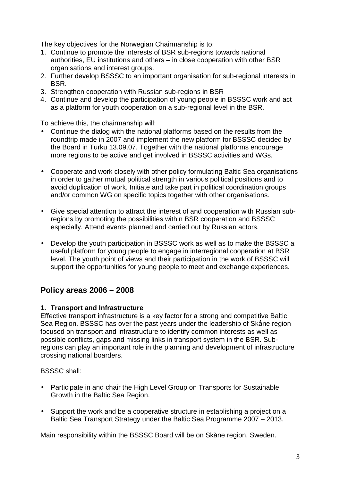The key objectives for the Norwegian Chairmanship is to:

- 1. Continue to promote the interests of BSR sub-regions towards national authorities, EU institutions and others – in close cooperation with other BSR organisations and interest groups.
- 2. Further develop BSSSC to an important organisation for sub-regional interests in BSR.
- 3. Strengthen cooperation with Russian sub-regions in BSR
- 4. Continue and develop the participation of young people in BSSSC work and act as a platform for youth cooperation on a sub-regional level in the BSR.

To achieve this, the chairmanship will:

- Continue the dialog with the national platforms based on the results from the roundtrip made in 2007 and implement the new platform for BSSSC decided by the Board in Turku 13.09.07. Together with the national platforms encourage more regions to be active and get involved in BSSSC activities and WGs.
- Cooperate and work closely with other policy formulating Baltic Sea organisations in order to gather mutual political strength in various political positions and to avoid duplication of work. Initiate and take part in political coordination groups and/or common WG on specific topics together with other organisations.
- Give special attention to attract the interest of and cooperation with Russian subregions by promoting the possibilities within BSR cooperation and BSSSC especially. Attend events planned and carried out by Russian actors.
- Develop the youth participation in BSSSC work as well as to make the BSSSC a useful platform for young people to engage in interregional cooperation at BSR level. The youth point of views and their participation in the work of BSSSC will support the opportunities for young people to meet and exchange experiences.

# **Policy areas 2006 – 2008**

## **1. Transport and Infrastructure**

Effective transport infrastructure is a key factor for a strong and competitive Baltic Sea Region. BSSSC has over the past years under the leadership of Skåne region focused on transport and infrastructure to identify common interests as well as possible conflicts, gaps and missing links in transport system in the BSR. Subregions can play an important role in the planning and development of infrastructure crossing national boarders.

BSSSC shall:

- Participate in and chair the High Level Group on Transports for Sustainable Growth in the Baltic Sea Region.
- Support the work and be a cooperative structure in establishing a project on a Baltic Sea Transport Strategy under the Baltic Sea Programme 2007 – 2013.

Main responsibility within the BSSSC Board will be on Skåne region, Sweden.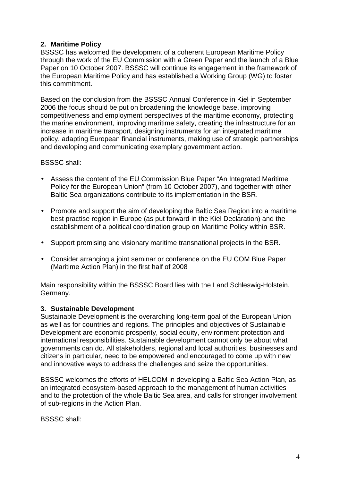# **2. Maritime Policy**

BSSSC has welcomed the development of a coherent European Maritime Policy through the work of the EU Commission with a Green Paper and the launch of a Blue Paper on 10 October 2007. BSSSC will continue its engagement in the framework of the European Maritime Policy and has established a Working Group (WG) to foster this commitment.

Based on the conclusion from the BSSSC Annual Conference in Kiel in September 2006 the focus should be put on broadening the knowledge base, improving competitiveness and employment perspectives of the maritime economy, protecting the marine environment, improving maritime safety, creating the infrastructure for an increase in maritime transport, designing instruments for an integrated maritime policy, adapting European financial instruments, making use of strategic partnerships and developing and communicating exemplary government action.

#### BSSSC shall:

- Assess the content of the EU Commission Blue Paper "An Integrated Maritime Policy for the European Union" (from 10 October 2007), and together with other Baltic Sea organizations contribute to its implementation in the BSR.
- Promote and support the aim of developing the Baltic Sea Region into a maritime best practise region in Europe (as put forward in the Kiel Declaration) and the establishment of a political coordination group on Maritime Policy within BSR.
- Support promising and visionary maritime transnational projects in the BSR.
- Consider arranging a joint seminar or conference on the EU COM Blue Paper (Maritime Action Plan) in the first half of 2008

Main responsibility within the BSSSC Board lies with the Land Schleswig-Holstein, Germany.

## **3. Sustainable Development**

Sustainable Development is the overarching long-term goal of the European Union as well as for countries and regions. The principles and objectives of Sustainable Development are economic prosperity, social equity, environment protection and international responsibilities. Sustainable development cannot only be about what governments can do. All stakeholders, regional and local authorities, businesses and citizens in particular, need to be empowered and encouraged to come up with new and innovative ways to address the challenges and seize the opportunities.

BSSSC welcomes the efforts of HELCOM in developing a Baltic Sea Action Plan, as an integrated ecosystem-based approach to the management of human activities and to the protection of the whole Baltic Sea area, and calls for stronger involvement of sub-regions in the Action Plan.

BSSSC shall: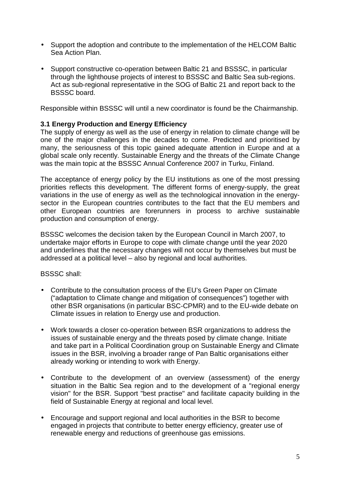- Support the adoption and contribute to the implementation of the HELCOM Baltic Sea Action Plan.
- Support constructive co-operation between Baltic 21 and BSSSC, in particular through the lighthouse projects of interest to BSSSC and Baltic Sea sub-regions. Act as sub-regional representative in the SOG of Baltic 21 and report back to the BSSSC board.

Responsible within BSSSC will until a new coordinator is found be the Chairmanship.

#### **3.1 Energy Production and Energy Efficiency**

The supply of energy as well as the use of energy in relation to climate change will be one of the major challenges in the decades to come. Predicted and prioritised by many, the seriousness of this topic gained adequate attention in Europe and at a global scale only recently. Sustainable Energy and the threats of the Climate Change was the main topic at the BSSSC Annual Conference 2007 in Turku, Finland.

The acceptance of energy policy by the EU institutions as one of the most pressing priorities reflects this development. The different forms of energy-supply, the great variations in the use of energy as well as the technological innovation in the energysector in the European countries contributes to the fact that the EU members and other European countries are forerunners in process to archive sustainable production and consumption of energy.

BSSSC welcomes the decision taken by the European Council in March 2007, to undertake major efforts in Europe to cope with climate change until the year 2020 and underlines that the necessary changes will not occur by themselves but must be addressed at a political level – also by regional and local authorities.

BSSSC shall:

- Contribute to the consultation process of the EU's Green Paper on Climate ("adaptation to Climate change and mitigation of consequences") together with other BSR organisations (in particular BSC-CPMR) and to the EU-wide debate on Climate issues in relation to Energy use and production.
- Work towards a closer co-operation between BSR organizations to address the issues of sustainable energy and the threats posed by climate change. Initiate and take part in a Political Coordination group on Sustainable Energy and Climate issues in the BSR, involving a broader range of Pan Baltic organisations either already working or intending to work with Energy.
- Contribute to the development of an overview (assessment) of the energy situation in the Baltic Sea region and to the development of a "regional energy vision" for the BSR. Support "best practise" and facilitate capacity building in the field of Sustainable Energy at regional and local level.
- Encourage and support regional and local authorities in the BSR to become engaged in projects that contribute to better energy efficiency, greater use of renewable energy and reductions of greenhouse gas emissions.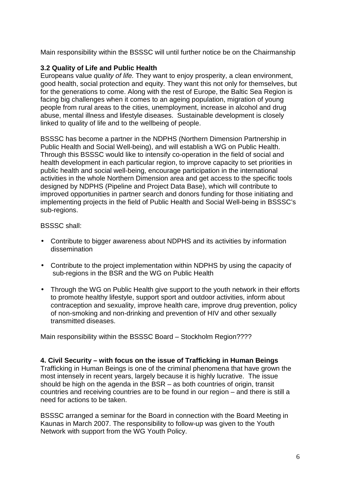Main responsibility within the BSSSC will until further notice be on the Chairmanship

# **3.2 Quality of Life and Public Health**

Europeans value quality of life. They want to enjoy prosperity, a clean environment, good health, social protection and equity. They want this not only for themselves, but for the generations to come. Along with the rest of Europe, the Baltic Sea Region is facing big challenges when it comes to an ageing population, migration of young people from rural areas to the cities, unemployment, increase in alcohol and drug abuse, mental illness and lifestyle diseases. Sustainable development is closely linked to quality of life and to the wellbeing of people.

BSSSC has become a partner in the NDPHS (Northern Dimension Partnership in Public Health and Social Well-being), and will establish a WG on Public Health. Through this BSSSC would like to intensify co-operation in the field of social and health development in each particular region, to improve capacity to set priorities in public health and social well-being, encourage participation in the international activities in the whole Northern Dimension area and get access to the specific tools designed by NDPHS (Pipeline and Project Data Base), which will contribute to improved opportunities in partner search and donors funding for those initiating and implementing projects in the field of Public Health and Social Well-being in BSSSC's sub-regions.

#### BSSSC shall:

- Contribute to bigger awareness about NDPHS and its activities by information dissemination
- Contribute to the project implementation within NDPHS by using the capacity of sub-regions in the BSR and the WG on Public Health
- Through the WG on Public Health give support to the youth network in their efforts to promote healthy lifestyle, support sport and outdoor activities, inform about contraception and sexuality, improve health care, improve drug prevention, policy of non-smoking and non-drinking and prevention of HIV and other sexually transmitted diseases.

Main responsibility within the BSSSC Board – Stockholm Region????

**4. Civil Security – with focus on the issue of Trafficking in Human Beings**  Trafficking in Human Beings is one of the criminal phenomena that have grown the most intensely in recent years, largely because it is highly lucrative. The issue should be high on the agenda in the BSR – as both countries of origin, transit countries and receiving countries are to be found in our region – and there is still a need for actions to be taken.

BSSSC arranged a seminar for the Board in connection with the Board Meeting in Kaunas in March 2007. The responsibility to follow-up was given to the Youth Network with support from the WG Youth Policy.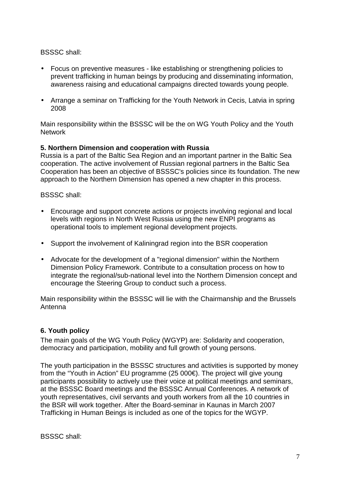#### BSSSC shall:

- Focus on preventive measures like establishing or strengthening policies to prevent trafficking in human beings by producing and disseminating information, awareness raising and educational campaigns directed towards young people.
- Arrange a seminar on Trafficking for the Youth Network in Cecis, Latvia in spring 2008

Main responsibility within the BSSSC will be the on WG Youth Policy and the Youth Network

#### **5. Northern Dimension and cooperation with Russia**

Russia is a part of the Baltic Sea Region and an important partner in the Baltic Sea cooperation. The active involvement of Russian regional partners in the Baltic Sea Cooperation has been an objective of BSSSC's policies since its foundation. The new approach to the Northern Dimension has opened a new chapter in this process.

#### BSSSC shall:

- Encourage and support concrete actions or projects involving regional and local levels with regions in North West Russia using the new ENPI programs as operational tools to implement regional development projects.
- Support the involvement of Kaliningrad region into the BSR cooperation
- Advocate for the development of a "regional dimension" within the Northern Dimension Policy Framework. Contribute to a consultation process on how to integrate the regional/sub-national level into the Northern Dimension concept and encourage the Steering Group to conduct such a process.

Main responsibility within the BSSSC will lie with the Chairmanship and the Brussels Antenna

## **6. Youth policy**

The main goals of the WG Youth Policy (WGYP) are: Solidarity and cooperation, democracy and participation, mobility and full growth of young persons.

The youth participation in the BSSSC structures and activities is supported by money from the "Youth in Action" EU programme (25 000€). The project will give young participants possibility to actively use their voice at political meetings and seminars, at the BSSSC Board meetings and the BSSSC Annual Conferences. A network of youth representatives, civil servants and youth workers from all the 10 countries in the BSR will work together. After the Board-seminar in Kaunas in March 2007 Trafficking in Human Beings is included as one of the topics for the WGYP.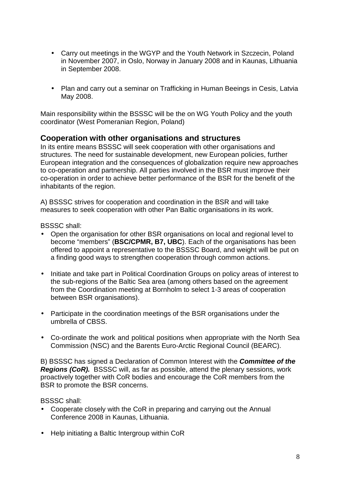- Carry out meetings in the WGYP and the Youth Network in Szczecin, Poland in November 2007, in Oslo, Norway in January 2008 and in Kaunas, Lithuania in September 2008.
- Plan and carry out a seminar on Trafficking in Human Beeings in Cesis, Latvia May 2008.

Main responsibility within the BSSSC will be the on WG Youth Policy and the youth coordinator (West Pomeranian Region, Poland)

## **Cooperation with other organisations and structures**

In its entire means BSSSC will seek cooperation with other organisations and structures. The need for sustainable development, new European policies, further European integration and the consequences of globalization require new approaches to co-operation and partnership. All parties involved in the BSR must improve their co-operation in order to achieve better performance of the BSR for the benefit of the inhabitants of the region.

A) BSSSC strives for cooperation and coordination in the BSR and will take measures to seek cooperation with other Pan Baltic organisations in its work.

BSSSC shall:

- Open the organisation for other BSR organisations on local and regional level to become "members" (**BSC/CPMR, B7, UBC**). Each of the organisations has been offered to appoint a representative to the BSSSC Board, and weight will be put on a finding good ways to strengthen cooperation through common actions.
- Initiate and take part in Political Coordination Groups on policy areas of interest to the sub-regions of the Baltic Sea area (among others based on the agreement from the Coordination meeting at Bornholm to select 1-3 areas of cooperation between BSR organisations).
- Participate in the coordination meetings of the BSR organisations under the umbrella of CBSS.
- Co-ordinate the work and political positions when appropriate with the North Sea Commission (NSC) and the Barents Euro-Arctic Regional Council (BEARC).

B) BSSSC has signed a Declaration of Common Interest with the **Committee of the Regions (CoR).** BSSSC will, as far as possible, attend the plenary sessions, work proactively together with CoR bodies and encourage the CoR members from the BSR to promote the BSR concerns.

BSSSC shall:

- Cooperate closely with the CoR in preparing and carrying out the Annual Conference 2008 in Kaunas, Lithuania.
- Help initiating a Baltic Intergroup within CoR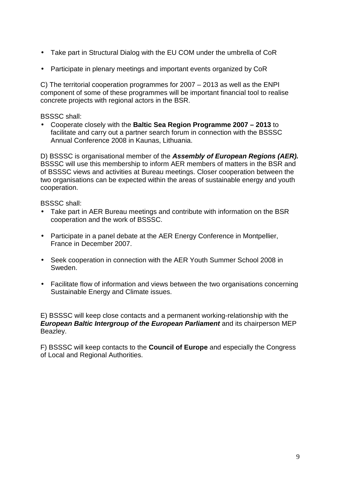- Take part in Structural Dialog with the EU COM under the umbrella of CoR
- Participate in plenary meetings and important events organized by CoR

C) The territorial cooperation programmes for 2007 – 2013 as well as the ENPI component of some of these programmes will be important financial tool to realise concrete projects with regional actors in the BSR.

#### BSSSC shall:

• Cooperate closely with the **Baltic Sea Region Programme 2007 – 2013** to facilitate and carry out a partner search forum in connection with the BSSSC Annual Conference 2008 in Kaunas, Lithuania.

D) BSSSC is organisational member of the **Assembly of European Regions (AER).**  BSSSC will use this membership to inform AER members of matters in the BSR and of BSSSC views and activities at Bureau meetings. Closer cooperation between the two organisations can be expected within the areas of sustainable energy and youth cooperation.

BSSSC shall:

- Take part in AER Bureau meetings and contribute with information on the BSR cooperation and the work of BSSSC.
- Participate in a panel debate at the AER Energy Conference in Montpellier, France in December 2007.
- Seek cooperation in connection with the AER Youth Summer School 2008 in Sweden.
- Facilitate flow of information and views between the two organisations concerning Sustainable Energy and Climate issues.

E) BSSSC will keep close contacts and a permanent working-relationship with the **European Baltic Intergroup of the European Parliament** and its chairperson MEP Beazley.

F) BSSSC will keep contacts to the **Council of Europe** and especially the Congress of Local and Regional Authorities.